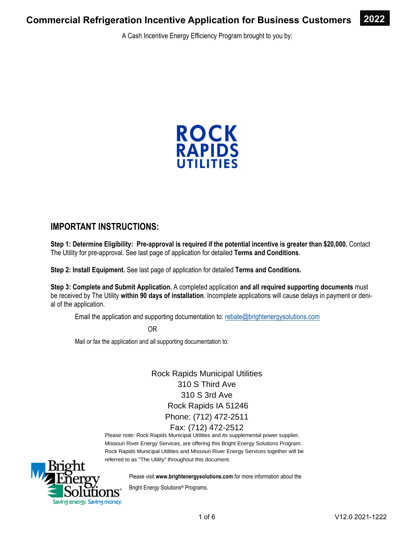A Cash Incentive Energy Efficiency Program brought to you by:



### **IMPORTANT INSTRUCTIONS:**

**Step 1: Determine Eligibility: Pre-approval is required if the potential incentive is greater than \$20,000.** Contact The Utility for pre-approval. See last page of application for detailed **Terms and Conditions**.

**Step 2: Install Equipment.** See last page of application for detailed **Terms and Conditions.** 

**Step 3: Complete and Submit Application.** A completed application **and all required supporting documents** must be received by The Utility **within 90 days of installation**. Incomplete applications will cause delays in payment or denial of the application.

Email the application and supporting documentation to: rebate@brightenergysolutions.com

OR

Mail or fax the application and all supporting documentation to:

Rock Rapids Municipal Utilities 310 S Third Ave 310 S 3rd Ave Rock Rapids IA 51246 Phone: (712) 472-2511 Fax: (712) 472-2512

Please note: Rock Rapids Municipal Utilities and its supplemental power supplier, Missouri River Energy Services, are offering this Bright Energy Solutions Program. Rock Rapids Municipal Utilities and Missouri River Energy Services together will be referred to as "The Utility" throughout this document.



Please visit **www.brightenergysolutions.com** for more information about the

Bright Energy Solutions® Programs.

**2022**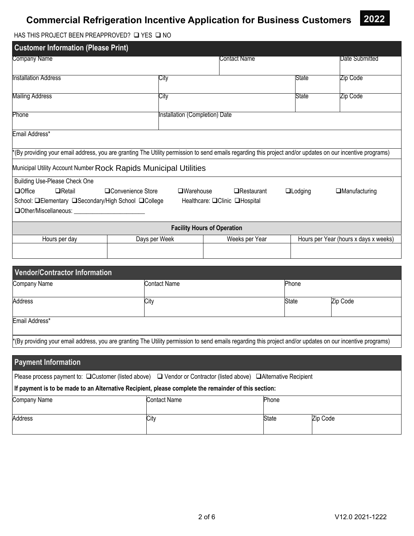

HAS THIS PROJECT BEEN PREAPPROVED?  $\square$  YES  $\square$  NO

| <b>Customer Information (Please Print)</b>                                                                                                                 |                                |                                       |                |                      |                                       |
|------------------------------------------------------------------------------------------------------------------------------------------------------------|--------------------------------|---------------------------------------|----------------|----------------------|---------------------------------------|
| Company Name                                                                                                                                               |                                | Contact Name                          |                |                      | Date Submitted                        |
| <b>Installation Address</b>                                                                                                                                | City                           |                                       |                | State                | Zip Code                              |
| <b>Mailing Address</b>                                                                                                                                     | City                           |                                       |                | State                | Zip Code                              |
| Phone                                                                                                                                                      | Installation (Completion) Date |                                       |                |                      |                                       |
| Email Address*                                                                                                                                             |                                |                                       |                |                      |                                       |
| *(By providing your email address, you are granting The Utility permission to send emails regarding this project and/or updates on our incentive programs) |                                |                                       |                |                      |                                       |
| Municipal Utility Account Number Rock Rapids Municipal Utilities                                                                                           |                                |                                       |                |                      |                                       |
| Building Use-Please Check One                                                                                                                              |                                |                                       |                |                      |                                       |
| <b>Office</b><br>$\Box$ Retail<br>□Convenience Store                                                                                                       | $\Box$ Warehouse               | $\Box$ Restaurant                     | $\Box$ Lodging | $\Box$ Manufacturing |                                       |
| School: <b>QElementary QSecondary/High School QCollege</b>                                                                                                 |                                | Healthcare: <b>□</b> Clinic □Hospital |                |                      |                                       |
| Other/Miscellaneous: ______________                                                                                                                        |                                |                                       |                |                      |                                       |
|                                                                                                                                                            |                                | <b>Facility Hours of Operation</b>    |                |                      |                                       |
| Hours per day                                                                                                                                              | Days per Week                  |                                       | Weeks per Year |                      | Hours per Year (hours x days x weeks) |
|                                                                                                                                                            |                                |                                       |                |                      |                                       |

| Vendor/Contractor Information |                                                                                                                                                            |              |          |
|-------------------------------|------------------------------------------------------------------------------------------------------------------------------------------------------------|--------------|----------|
| Company Name                  | Contact Name                                                                                                                                               | Phone        |          |
| <b>Address</b>                | City                                                                                                                                                       | <b>State</b> | Zip Code |
| Email Address*                |                                                                                                                                                            |              |          |
|                               | *(By providing your email address, you are granting The Utility permission to send emails regarding this project and/or updates on our incentive programs) |              |          |

| <b>Payment Information</b>                                                                                         |                     |              |          |  |  |
|--------------------------------------------------------------------------------------------------------------------|---------------------|--------------|----------|--|--|
| Please process payment to: □ Customer (listed above) □ Vendor or Contractor (listed above) □ Alternative Recipient |                     |              |          |  |  |
| If payment is to be made to an Alternative Recipient, please complete the remainder of this section:               |                     |              |          |  |  |
| Company Name                                                                                                       | <b>Contact Name</b> | Phone        |          |  |  |
| Address                                                                                                            | City                | <b>State</b> | Zip Code |  |  |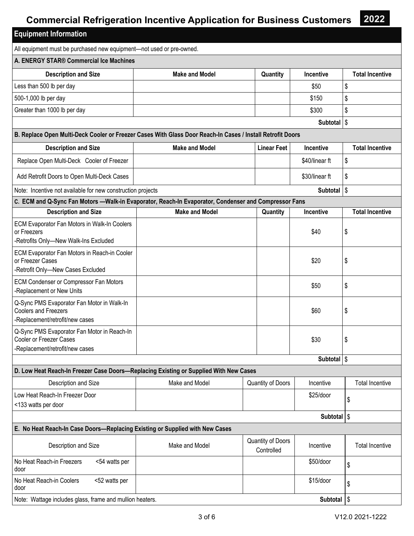**2022** 

| <b>Equipment Information</b>                                                                                 |                       |                                 |                        |                        |
|--------------------------------------------------------------------------------------------------------------|-----------------------|---------------------------------|------------------------|------------------------|
| All equipment must be purchased new equipment-not used or pre-owned.                                         |                       |                                 |                        |                        |
| A. ENERGY STAR® Commercial Ice Machines                                                                      |                       |                                 |                        |                        |
| <b>Description and Size</b>                                                                                  | <b>Make and Model</b> | Quantity                        | Incentive              | <b>Total Incentive</b> |
| Less than 500 lb per day                                                                                     |                       |                                 | \$50                   | \$                     |
| 500-1,000 lb per day                                                                                         |                       |                                 | \$150                  | \$                     |
| Greater than 1000 lb per day                                                                                 |                       |                                 | \$300                  | \$                     |
|                                                                                                              |                       |                                 | Subtotal   \$          |                        |
| B. Replace Open Multi-Deck Cooler or Freezer Cases With Glass Door Reach-In Cases / Install Retrofit Doors   |                       |                                 |                        |                        |
| <b>Description and Size</b>                                                                                  | <b>Make and Model</b> | <b>Linear Feet</b>              | Incentive              | <b>Total Incentive</b> |
| Replace Open Multi-Deck Cooler of Freezer                                                                    |                       |                                 | \$40/linear ft         | \$                     |
| Add Retrofit Doors to Open Multi-Deck Cases                                                                  |                       |                                 | \$30/linear ft         | \$                     |
| Note: Incentive not available for new construction projects                                                  |                       |                                 | Subtotal               | $\sqrt{3}$             |
| C. ECM and Q-Sync Fan Motors -- Walk-in Evaporator, Reach-In Evaporator, Condenser and Compressor Fans       |                       |                                 |                        |                        |
| <b>Description and Size</b>                                                                                  | <b>Make and Model</b> | Quantity                        | Incentive              | <b>Total Incentive</b> |
| ECM Evaporator Fan Motors in Walk-In Coolers<br>or Freezers<br>-Retrofits Only-New Walk-Ins Excluded         |                       |                                 | \$40                   | \$                     |
| ECM Evaporator Fan Motors in Reach-in Cooler<br>or Freezer Cases<br>-Retrofit Only-New Cases Excluded        |                       |                                 | \$20                   | \$                     |
| ECM Condenser or Compressor Fan Motors<br>-Replacement or New Units                                          |                       |                                 | \$50                   | \$                     |
| Q-Sync PMS Evaporator Fan Motor in Walk-In<br><b>Coolers and Freezers</b><br>-Replacement/retrofit/new cases |                       |                                 | \$60                   | \$                     |
| Q-Sync PMS Evaporator Fan Motor in Reach-In<br>Cooler or Freezer Cases<br>-Replacement/retrofit/new cases    |                       |                                 | \$30                   | \$                     |
|                                                                                                              |                       |                                 | Subtotal \$            |                        |
| D. Low Heat Reach-In Freezer Case Doors-Replacing Existing or Supplied With New Cases                        |                       |                                 |                        |                        |
| Description and Size                                                                                         | Make and Model        | Quantity of Doors               | Incentive              | <b>Total Incentive</b> |
| Low Heat Reach-In Freezer Door<br><133 watts per door                                                        |                       |                                 | \$25/door              | \$                     |
|                                                                                                              |                       |                                 | Subtotal   \$          |                        |
| E. No Heat Reach-In Case Doors-Replacing Existing or Supplied with New Cases                                 |                       |                                 |                        |                        |
| Description and Size                                                                                         | Make and Model        | Quantity of Doors<br>Controlled | Incentive              | <b>Total Incentive</b> |
| No Heat Reach-in Freezers<br><54 watts per<br>door                                                           |                       |                                 | \$50/door              | \$                     |
| No Heat Reach-in Coolers<br><52 watts per<br>door                                                            |                       |                                 | \$15/door              | \$                     |
| Note: Wattage includes glass, frame and mullion heaters.                                                     |                       |                                 | Subtotal $\frac{1}{3}$ |                        |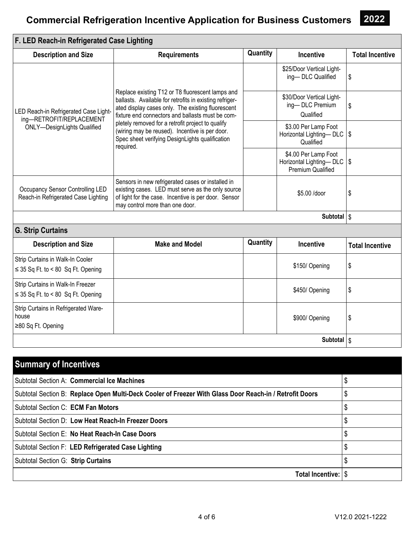| F. LED Reach-in Refrigerated Case Lighting                                                              |                                                                                                                                                                                                                                                                                                                                                                                             |          |                                                                           |                        |
|---------------------------------------------------------------------------------------------------------|---------------------------------------------------------------------------------------------------------------------------------------------------------------------------------------------------------------------------------------------------------------------------------------------------------------------------------------------------------------------------------------------|----------|---------------------------------------------------------------------------|------------------------|
| <b>Description and Size</b>                                                                             | <b>Requirements</b>                                                                                                                                                                                                                                                                                                                                                                         | Quantity | <b>Incentive</b>                                                          | <b>Total Incentive</b> |
|                                                                                                         |                                                                                                                                                                                                                                                                                                                                                                                             |          | \$25/Door Vertical Light-<br>ing-DLC Qualified                            | \$                     |
| LED Reach-in Refrigerated Case Light-<br>ing-RETROFIT/REPLACEMENT<br><b>ONLY-DesignLights Qualified</b> | Replace existing T12 or T8 fluorescent lamps and<br>ballasts. Available for retrofits in existing refriger-<br>ated display cases only. The existing fluorescent<br>fixture end connectors and ballasts must be com-<br>pletely removed for a retrofit project to qualify<br>(wiring may be reused). Incentive is per door.<br>Spec sheet verifying DesignLights qualification<br>required. |          | \$30/Door Vertical Light-<br>ing-DLC Premium<br>Qualified                 | \$                     |
|                                                                                                         |                                                                                                                                                                                                                                                                                                                                                                                             |          | \$3.00 Per Lamp Foot<br>Horizontal Lighting-DLC   \$<br>Qualified         |                        |
|                                                                                                         |                                                                                                                                                                                                                                                                                                                                                                                             |          | \$4.00 Per Lamp Foot<br>Horizontal Lighting-DLC   \$<br>Premium Qualified |                        |
| Occupancy Sensor Controlling LED<br>Reach-in Refrigerated Case Lighting                                 | Sensors in new refrigerated cases or installed in<br>existing cases. LED must serve as the only source<br>of light for the case. Incentive is per door. Sensor<br>may control more than one door.                                                                                                                                                                                           |          | \$5.00 /door                                                              | \$                     |
|                                                                                                         |                                                                                                                                                                                                                                                                                                                                                                                             |          | Subtotal   \$                                                             |                        |
| <b>G. Strip Curtains</b>                                                                                |                                                                                                                                                                                                                                                                                                                                                                                             |          |                                                                           |                        |
| <b>Description and Size</b>                                                                             | <b>Make and Model</b>                                                                                                                                                                                                                                                                                                                                                                       | Quantity | <b>Incentive</b>                                                          | <b>Total Incentive</b> |
| Strip Curtains in Walk-In Cooler<br>$\leq$ 35 Sq Ft. to < 80 Sq Ft. Opening                             |                                                                                                                                                                                                                                                                                                                                                                                             |          | \$150/ Opening                                                            | \$                     |
| Strip Curtains in Walk-In Freezer<br>$\leq$ 35 Sq Ft. to < 80 Sq Ft. Opening                            |                                                                                                                                                                                                                                                                                                                                                                                             |          | \$450/ Opening                                                            | \$                     |
| Strip Curtains in Refrigerated Ware-<br>house<br>≥80 Sq Ft. Opening                                     |                                                                                                                                                                                                                                                                                                                                                                                             |          | \$900/ Opening                                                            | \$                     |
|                                                                                                         |                                                                                                                                                                                                                                                                                                                                                                                             |          | Subtotal   \$                                                             |                        |

| <b>Summary of Incentives</b>                                                                            |   |
|---------------------------------------------------------------------------------------------------------|---|
| <b>Subtotal Section A: Commercial Ice Machines</b>                                                      |   |
| Subtotal Section B: Replace Open Multi-Deck Cooler of Freezer With Glass Door Reach-in / Retrofit Doors | Œ |
| Subtotal Section C: ECM Fan Motors                                                                      |   |
| Subtotal Section D: Low Heat Reach-In Freezer Doors                                                     |   |
| Subtotal Section E: No Heat Reach-In Case Doors                                                         |   |
| Subtotal Section F: LED Refrigerated Case Lighting                                                      |   |
| Subtotal Section G: Strip Curtains                                                                      |   |
| Total Incentive:   \$                                                                                   |   |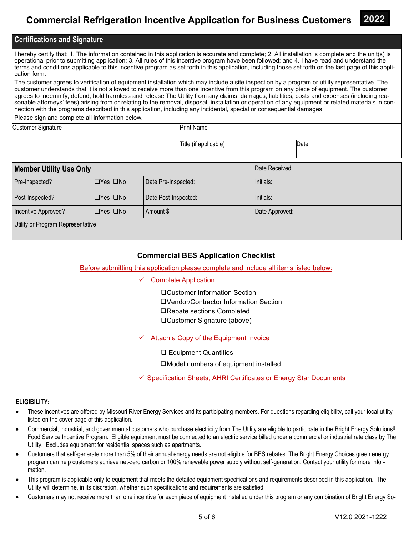

### **Certifications and Signature**

I hereby certify that: 1. The information contained in this application is accurate and complete; 2. All installation is complete and the unit(s) is operational prior to submitting application; 3. All rules of this incentive program have been followed; and 4. I have read and understand the terms and conditions applicable to this incentive program as set forth in this application, including those set forth on the last page of this application form.

The customer agrees to verification of equipment installation which may include a site inspection by a program or utility representative. The customer understands that it is not allowed to receive more than one incentive from this program on any piece of equipment. The customer agrees to indemnify, defend, hold harmless and release The Utility from any claims, damages, liabilities, costs and expenses (including reasonable attorneys' fees) arising from or relating to the removal, disposal, installation or operation of any equipment or related materials in connection with the programs described in this application, including any incidental, special or consequential damages.

Please sign and complete all information below.

| <b>Customer Signature</b> | <b>Print Name</b>     |      |
|---------------------------|-----------------------|------|
|                           | Title (if applicable) | Date |

| <b>Member Utility Use Only</b>    |                      |                      | Date Received: |  |
|-----------------------------------|----------------------|----------------------|----------------|--|
| Pre-Inspected?                    | $\Box$ Yes $\Box$ No | Date Pre-Inspected:  | Initials:      |  |
| Post-Inspected?                   | $\Box$ Yes $\Box$ No | Date Post-Inspected: | Initials:      |  |
| Incentive Approved?               | $\Box$ Yes $\Box$ No | Amount \$            | Date Approved: |  |
| Utility or Program Representative |                      |                      |                |  |

### **Commercial BES Application Checklist**

#### Before submitting this application please complete and include all items listed below:

#### $\checkmark$  Complete Application

Customer Information Section Vendor/Contractor Information Section **□Rebate sections Completed** Customer Signature (above)

 $\checkmark$  Attach a Copy of the Equipment Invoice

□ Equipment Quantities

■Model numbers of equipment installed

 $\checkmark$  Specification Sheets, AHRI Certificates or Energy Star Documents

#### **ELIGIBILITY:**

- These incentives are offered by Missouri River Energy Services and its participating members. For questions regarding eligibility, call your local utility listed on the cover page of this application.
- Commercial, industrial, and governmental customers who purchase electricity from The Utility are eligible to participate in the Bright Energy Solutions® Food Service Incentive Program. Eligible equipment must be connected to an electric service billed under a commercial or industrial rate class by The Utility. Excludes equipment for residential spaces such as apartments.
- Customers that self-generate more than 5% of their annual energy needs are not eligible for BES rebates. The Bright Energy Choices green energy program can help customers achieve net-zero carbon or 100% renewable power supply without self-generation. Contact your utility for more information.
- This program is applicable only to equipment that meets the detailed equipment specifications and requirements described in this application. The Utility will determine, in its discretion, whether such specifications and requirements are satisfied.
- Customers may not receive more than one incentive for each piece of equipment installed under this program or any combination of Bright Energy So-